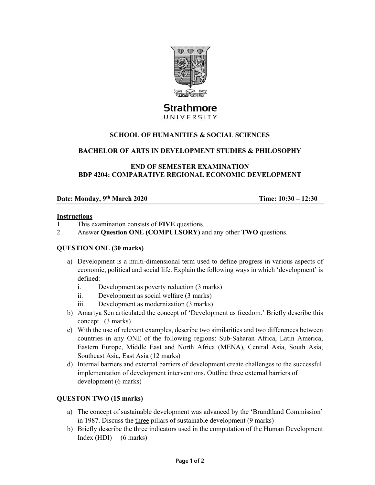

# Strathmore UNIVERSITY

## **SCHOOL OF HUMANITIES & SOCIAL SCIENCES**

#### **BACHELOR OF ARTS IN DEVELOPMENT STUDIES & PHILOSOPHY**

**END OF SEMESTER EXAMINATION BDP 4204: COMPARATIVE REGIONAL ECONOMIC DEVELOPMENT** 

## **Date: Monday, 9th March 2020 Time: 10:30 – 12:30**

#### **Instructions**

- 1. This examination consists of **FIVE** questions.
- 2. Answer **Question ONE (COMPULSORY)** and any other **TWO** questions.

#### **QUESTION ONE (30 marks)**

- a) Development is a multi-dimensional term used to define progress in various aspects of economic, political and social life. Explain the following ways in which 'development' is defined:
	- i. Development as poverty reduction (3 marks)
	- ii. Development as social welfare (3 marks)
	- iii. Development as modernization (3 marks)
- b) Amartya Sen articulated the concept of 'Development as freedom.' Briefly describe this concept (3 marks)
- c) With the use of relevant examples, describe two similarities and two differences between countries in any ONE of the following regions: Sub-Saharan Africa, Latin America, Eastern Europe, Middle East and North Africa (MENA), Central Asia, South Asia, Southeast Asia, East Asia (12 marks)
- d) Internal barriers and external barriers of development create challenges to the successful implementation of development interventions. Outline three external barriers of development (6 marks)

## **QUESTON TWO (15 marks)**

- a) The concept of sustainable development was advanced by the 'Brundtland Commission' in 1987. Discuss the three pillars of sustainable development (9 marks)
- b) Briefly describe the three indicators used in the computation of the Human Development Index (HDI) (6 marks)